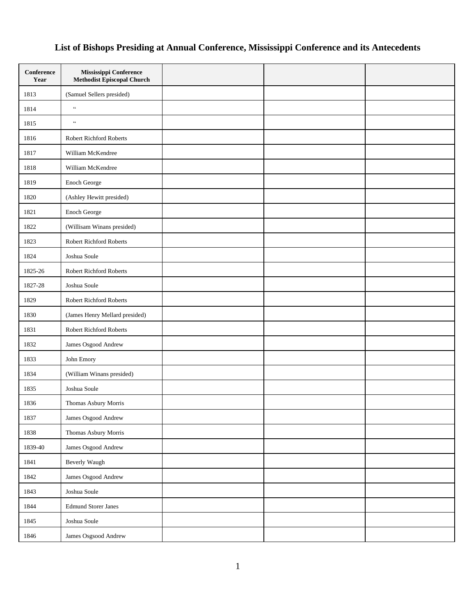## **List of Bishops Presiding at Annual Conference, Mississippi Conference and its Antecedents**

| Conference<br>Year | Mississippi Conference<br><b>Methodist Episcopal Church</b> |  |  |
|--------------------|-------------------------------------------------------------|--|--|
| 1813               | (Samuel Sellers presided)                                   |  |  |
| 1814               | $\boldsymbol{\varsigma}$                                    |  |  |
| 1815               | $\zeta\,\zeta$                                              |  |  |
| 1816               | Robert Richford Roberts                                     |  |  |
| 1817               | William McKendree                                           |  |  |
| 1818               | William McKendree                                           |  |  |
| 1819               | Enoch George                                                |  |  |
| 1820               | (Ashley Hewitt presided)                                    |  |  |
| 1821               | Enoch George                                                |  |  |
| 1822               | (Willisam Winans presided)                                  |  |  |
| 1823               | Robert Richford Roberts                                     |  |  |
| 1824               | Joshua Soule                                                |  |  |
| 1825-26            | Robert Richford Roberts                                     |  |  |
| 1827-28            | Joshua Soule                                                |  |  |
| 1829               | Robert Richford Roberts                                     |  |  |
| 1830               | (James Henry Mellard presided)                              |  |  |
| 1831               | Robert Richford Roberts                                     |  |  |
| 1832               | James Osgood Andrew                                         |  |  |
| 1833               | John Emory                                                  |  |  |
| 1834               | (William Winans presided)                                   |  |  |
| 1835               | Joshua Soule                                                |  |  |
| 1836               | Thomas Asbury Morris                                        |  |  |
| 1837               | James Osgood Andrew                                         |  |  |
| 1838               | Thomas Asbury Morris                                        |  |  |
| 1839-40            | James Osgood Andrew                                         |  |  |
| 1841               | Beverly Waugh                                               |  |  |
| 1842               | James Osgood Andrew                                         |  |  |
| 1843               | Joshua Soule                                                |  |  |
| 1844               | <b>Edmund Storer Janes</b>                                  |  |  |
| 1845               | Joshua Soule                                                |  |  |
| 1846               | James Osgsood Andrew                                        |  |  |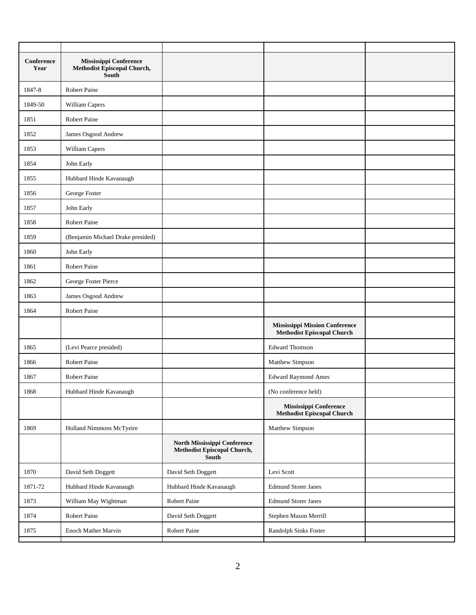| Conference<br>Year | <b>Mississippi Conference</b><br><b>Methodist Episcopal Church,</b><br><b>South</b> |                                                                             |                                                                            |  |
|--------------------|-------------------------------------------------------------------------------------|-----------------------------------------------------------------------------|----------------------------------------------------------------------------|--|
| 1847-8             | Robert Paine                                                                        |                                                                             |                                                                            |  |
| 1849-50            | William Capers                                                                      |                                                                             |                                                                            |  |
| 1851               | Robert Paine                                                                        |                                                                             |                                                                            |  |
| 1852               | James Osgood Andrew                                                                 |                                                                             |                                                                            |  |
| 1853               | William Capers                                                                      |                                                                             |                                                                            |  |
| 1854               | John Early                                                                          |                                                                             |                                                                            |  |
| 1855               | Hubbard Hinde Kavanaugh                                                             |                                                                             |                                                                            |  |
| 1856               | George Foster                                                                       |                                                                             |                                                                            |  |
| 1857               | John Early                                                                          |                                                                             |                                                                            |  |
| 1858               | <b>Robert Paine</b>                                                                 |                                                                             |                                                                            |  |
| 1859               | (Benjamin Michael Drake presided)                                                   |                                                                             |                                                                            |  |
| 1860               | John Early                                                                          |                                                                             |                                                                            |  |
| 1861               | <b>Robert Paine</b>                                                                 |                                                                             |                                                                            |  |
| 1862               | George Foster Pierce                                                                |                                                                             |                                                                            |  |
| 1863               | James Osgood Andrew                                                                 |                                                                             |                                                                            |  |
| 1864               | <b>Robert Paine</b>                                                                 |                                                                             |                                                                            |  |
|                    |                                                                                     |                                                                             | <b>Mississippi Mission Conference</b><br><b>Methodist Episcopal Church</b> |  |
| 1865               | (Levi Pearce presided)                                                              |                                                                             | <b>Edward Thomson</b>                                                      |  |
| 1866               | Robert Paine                                                                        |                                                                             | Matthew Simpson                                                            |  |
| 1867               | Robert Paine                                                                        |                                                                             | <b>Edward Raymond Ames</b>                                                 |  |
| 1868               | Hubbard Hinde Kavanaugh                                                             |                                                                             | (No conference held)                                                       |  |
|                    |                                                                                     |                                                                             | Mississippi Conference<br><b>Methodist Episcopal Church</b>                |  |
| 1869               | Holland Nimmons McTyeire                                                            |                                                                             | Matthew Simpson                                                            |  |
|                    |                                                                                     | North Mississippi Conference<br><b>Methodist Episcopal Church,</b><br>South |                                                                            |  |
| 1870               | David Seth Doggett                                                                  | David Seth Doggett                                                          | Levi Scott                                                                 |  |
| 1871-72            | Hubbard Hinde Kavanaugh                                                             | Hubbard Hinde Kavanaugh                                                     | <b>Edmund Storer Janes</b>                                                 |  |
| 1873               | William May Wightman                                                                | Robert Paine                                                                | <b>Edmund Storer Janes</b>                                                 |  |
| 1874               | Robert Paine                                                                        | David Seth Doggett                                                          | Stephen Mason Merrill                                                      |  |
| 1875               | <b>Enoch Mather Marvin</b>                                                          | Robert Paine                                                                | Randolph Sinks Foster                                                      |  |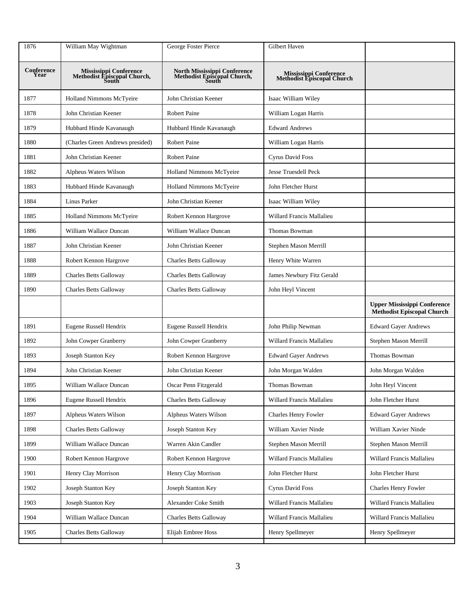| 1876               | William May Wightman                                           | George Foster Pierce                                                 | Gilbert Haven                                        |                                                                          |
|--------------------|----------------------------------------------------------------|----------------------------------------------------------------------|------------------------------------------------------|--------------------------------------------------------------------------|
| Conference<br>Year | Mississippi Conference<br>Methodist Episcopal Church,<br>South | North Mississippi Conference<br>Methodist Episcopal Church,<br>South | Mississippi Conference<br>Methodist Episcopal Church |                                                                          |
| 1877               | Holland Nimmons McTyeire                                       | John Christian Keener                                                | Isaac William Wiley                                  |                                                                          |
| 1878               | John Christian Keener                                          | Robert Paine                                                         | William Logan Harris                                 |                                                                          |
| 1879               | Hubbard Hinde Kavanaugh                                        | Hubbard Hinde Kavanaugh                                              | <b>Edward Andrews</b>                                |                                                                          |
| 1880               | (Charles Green Andrews presided)                               | Robert Paine                                                         | William Logan Harris                                 |                                                                          |
| 1881               | John Christian Keener                                          | Robert Paine                                                         | <b>Cyrus David Foss</b>                              |                                                                          |
| 1882               | Alpheus Waters Wilson                                          | Holland Nimmons McTyeire                                             | Jesse Truesdell Peck                                 |                                                                          |
| 1883               | Hubbard Hinde Kavanaugh                                        | Holland Nimmons McTyeire                                             | John Fletcher Hurst                                  |                                                                          |
| 1884               | Linus Parker                                                   | John Christian Keener                                                | Isaac William Wiley                                  |                                                                          |
| 1885               | Holland Nimmons McTyeire                                       | Robert Kennon Hargrove                                               | Willard Francis Mallalieu                            |                                                                          |
| 1886               | William Wallace Duncan                                         | William Wallace Duncan                                               | Thomas Bowman                                        |                                                                          |
| 1887               | John Christian Keener                                          | John Christian Keener                                                | Stephen Mason Merrill                                |                                                                          |
| 1888               | Robert Kennon Hargrove                                         | <b>Charles Betts Galloway</b>                                        | Henry White Warren                                   |                                                                          |
| 1889               | <b>Charles Betts Galloway</b>                                  | <b>Charles Betts Galloway</b>                                        | James Newbury Fitz Gerald                            |                                                                          |
| 1890               | <b>Charles Betts Galloway</b>                                  | <b>Charles Betts Galloway</b>                                        | John Heyl Vincent                                    |                                                                          |
|                    |                                                                |                                                                      |                                                      | <b>Upper Mississippi Conference</b><br><b>Methodist Episcopal Church</b> |
| 1891               | Eugene Russell Hendrix                                         | Eugene Russell Hendrix                                               | John Philip Newman                                   | <b>Edward Gayer Andrews</b>                                              |
| 1892               | John Cowper Granberry                                          | John Cowper Granberry                                                | Willard Francis Mallalieu                            | Stephen Mason Merrill                                                    |
| 1893               | Joseph Stanton Key                                             | Robert Kennon Hargrove                                               | <b>Edward Gayer Andrews</b>                          | Thomas Bowman                                                            |
| 1894               | John Christian Keener                                          | John Christian Keener                                                | John Morgan Walden                                   | John Morgan Walden                                                       |
| 1895               | William Wallace Duncan                                         | Oscar Penn Fitzgerald                                                | Thomas Bowman                                        | John Heyl Vincent                                                        |
| 1896               | Eugene Russell Hendrix                                         | <b>Charles Betts Galloway</b>                                        | Willard Francis Mallalieu                            | John Fletcher Hurst                                                      |
| 1897               | Alpheus Waters Wilson                                          | Alpheus Waters Wilson                                                | Charles Henry Fowler                                 | <b>Edward Gayer Andrews</b>                                              |
| 1898               | Charles Betts Galloway                                         | Joseph Stanton Key                                                   | William Xavier Ninde                                 | William Xavier Ninde                                                     |
| 1899               | William Wallace Duncan                                         | Warren Akin Candler                                                  | Stephen Mason Merrill                                | Stephen Mason Merrill                                                    |
| 1900               | Robert Kennon Hargrove                                         | Robert Kennon Hargrove                                               | Willard Francis Mallalieu                            | Willard Francis Mallalieu                                                |
| 1901               | Henry Clay Morrison                                            | Henry Clay Morrison                                                  | John Fletcher Hurst                                  | John Fletcher Hurst                                                      |
| 1902               | Joseph Stanton Key                                             | Joseph Stanton Key                                                   | Cyrus David Foss                                     | Charles Henry Fowler                                                     |
| 1903               | Joseph Stanton Key                                             | Alexander Coke Smith                                                 | Willard Francis Mallalieu                            | Willard Francis Mallalieu                                                |
| 1904               | William Wallace Duncan                                         | Charles Betts Galloway                                               | Willard Francis Mallalieu                            | Willard Francis Mallalieu                                                |
| 1905               | Charles Betts Galloway                                         | Elijah Embree Hoss                                                   | Henry Spellmeyer                                     | Henry Spellmeyer                                                         |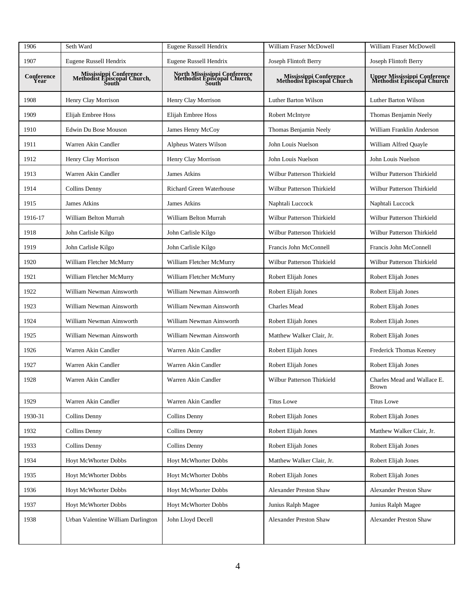| Seth Ward                                                      | Eugene Russell Hendrix                                               | William Fraser McDowell                              | William Fraser McDowell                                    |
|----------------------------------------------------------------|----------------------------------------------------------------------|------------------------------------------------------|------------------------------------------------------------|
| Eugene Russell Hendrix                                         | Eugene Russell Hendrix                                               | Joseph Flintoft Berry                                | Joseph Flintoft Berry                                      |
| Mississippi Conference<br>Methodist Episcopal Church,<br>South | North Mississippi Conference<br>Methodist Episcopal Church,<br>South | Mississippi Conference<br>Methodist Episcopal Church | Upper Mississippi Conference<br>Methodist Episcopal Church |
| Henry Clay Morrison                                            | Henry Clay Morrison                                                  | Luther Barton Wilson                                 | Luther Barton Wilson                                       |
| Elijah Embree Hoss                                             | Elijah Embree Hoss                                                   | Robert McIntyre                                      | Thomas Benjamin Neely                                      |
| Edwin Du Bose Mouson                                           | James Henry McCoy                                                    | Thomas Benjamin Neely                                | William Franklin Anderson                                  |
| Warren Akin Candler                                            | Alpheus Waters Wilson                                                | John Louis Nuelson                                   | William Alfred Quayle                                      |
| Henry Clay Morrison                                            | Henry Clay Morrison                                                  | John Louis Nuelson                                   | John Louis Nuelson                                         |
| Warren Akin Candler                                            | James Atkins                                                         | Wilbur Patterson Thirkield                           | Wilbur Patterson Thirkield                                 |
| Collins Denny                                                  | <b>Richard Green Waterhouse</b>                                      | Wilbur Patterson Thirkield                           | Wilbur Patterson Thirkield                                 |
| <b>James Atkins</b>                                            | James Atkins                                                         | Naphtali Luccock                                     | Naphtali Luccock                                           |
| William Belton Murrah                                          | William Belton Murrah                                                | Wilbur Patterson Thirkield                           | Wilbur Patterson Thirkield                                 |
| John Carlisle Kilgo                                            | John Carlisle Kilgo                                                  | Wilbur Patterson Thirkield                           | Wilbur Patterson Thirkield                                 |
| John Carlisle Kilgo                                            | John Carlisle Kilgo                                                  | Francis John McConnell                               | Francis John McConnell                                     |
| William Fletcher McMurry                                       | William Fletcher McMurry                                             | Wilbur Patterson Thirkield                           | Wilbur Patterson Thirkield                                 |
| William Fletcher McMurry                                       | William Fletcher McMurry                                             | Robert Elijah Jones                                  | Robert Elijah Jones                                        |
| William Newman Ainsworth                                       | William Newman Ainsworth                                             | Robert Elijah Jones                                  | Robert Elijah Jones                                        |
| William Newman Ainsworth                                       | William Newman Ainsworth                                             | <b>Charles Mead</b>                                  | Robert Elijah Jones                                        |
| William Newman Ainsworth                                       | William Newman Ainsworth                                             | Robert Elijah Jones                                  | Robert Elijah Jones                                        |
| William Newman Ainsworth                                       | William Newman Ainsworth                                             | Matthew Walker Clair, Jr.                            | Robert Elijah Jones                                        |
| Warren Akin Candler                                            | Warren Akin Candler                                                  | Robert Elijah Jones                                  | Frederick Thomas Keeney                                    |
| Warren Akin Candler                                            | Warren Akin Candler                                                  | Robert Elijah Jones                                  | Robert Elijah Jones                                        |
| Warren Akin Candler                                            | Warren Akin Candler                                                  | Wilbur Patterson Thirkield                           | Charles Mead and Wallace E.<br><b>Brown</b>                |
| Warren Akin Candler                                            | Warren Akin Candler                                                  | <b>Titus Lowe</b>                                    | <b>Titus Lowe</b>                                          |
| <b>Collins Denny</b>                                           | <b>Collins Denny</b>                                                 | Robert Elijah Jones                                  | Robert Elijah Jones                                        |
| <b>Collins Denny</b>                                           | Collins Denny                                                        | Robert Elijah Jones                                  | Matthew Walker Clair, Jr.                                  |
| <b>Collins Denny</b>                                           | Collins Denny                                                        | Robert Elijah Jones                                  | Robert Elijah Jones                                        |
| Hoyt McWhorter Dobbs                                           | Hoyt McWhorter Dobbs                                                 | Matthew Walker Clair, Jr.                            | Robert Elijah Jones                                        |
| Hoyt McWhorter Dobbs                                           | <b>Hoyt McWhorter Dobbs</b>                                          | Robert Elijah Jones                                  | Robert Elijah Jones                                        |
| Hoyt McWhorter Dobbs                                           | Hoyt McWhorter Dobbs                                                 | Alexander Preston Shaw                               | Alexander Preston Shaw                                     |
| <b>Hoyt McWhorter Dobbs</b>                                    | <b>Hoyt McWhorter Dobbs</b>                                          | Junius Ralph Magee                                   | Junius Ralph Magee                                         |
| Urban Valentine William Darlington                             | John Lloyd Decell                                                    | Alexander Preston Shaw                               | Alexander Preston Shaw                                     |
|                                                                |                                                                      |                                                      |                                                            |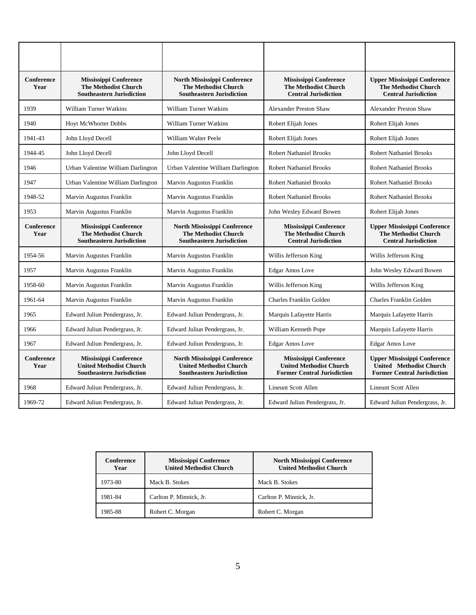| Conference<br>Year | <b>Mississippi Conference</b><br><b>The Methodist Church</b><br><b>Southeastern Jurisdiction</b>    | North Mississippi Conference<br><b>The Methodist Church</b><br><b>Southeastern Jurisdiction</b>    | <b>Mississippi Conference</b><br><b>The Methodist Church</b><br><b>Central Jurisdiction</b>           | <b>Upper Mississippi Conference</b><br><b>The Methodist Church</b><br><b>Central Jurisdiction</b>    |
|--------------------|-----------------------------------------------------------------------------------------------------|----------------------------------------------------------------------------------------------------|-------------------------------------------------------------------------------------------------------|------------------------------------------------------------------------------------------------------|
| 1939               | William Turner Watkins                                                                              | William Turner Watkins                                                                             | <b>Alexander Preston Shaw</b>                                                                         | <b>Alexander Preston Shaw</b>                                                                        |
| 1940               | Hoyt McWhorter Dobbs                                                                                | William Turner Watkins                                                                             | Robert Elijah Jones                                                                                   | Robert Elijah Jones                                                                                  |
| 1941-43            | John Lloyd Decell                                                                                   | William Walter Peele                                                                               | Robert Elijah Jones                                                                                   | Robert Elijah Jones                                                                                  |
| 1944-45            | John Lloyd Decell                                                                                   | John Lloyd Decell                                                                                  | <b>Robert Nathaniel Brooks</b>                                                                        | <b>Robert Nathaniel Brooks</b>                                                                       |
| 1946               | Urban Valentine William Darlington                                                                  | Urban Valentine William Darlington                                                                 | <b>Robert Nathaniel Brooks</b>                                                                        | <b>Robert Nathaniel Brooks</b>                                                                       |
| 1947               | Urban Valentine William Darlington                                                                  | Marvin Augustus Franklin                                                                           | <b>Robert Nathaniel Brooks</b>                                                                        | <b>Robert Nathaniel Brooks</b>                                                                       |
| 1948-52            | Marvin Augustus Franklin                                                                            | Marvin Augustus Franklin                                                                           | <b>Robert Nathaniel Brooks</b>                                                                        | <b>Robert Nathaniel Brooks</b>                                                                       |
| 1953               | Marvin Augustus Franklin                                                                            | Marvin Augustus Franklin                                                                           | John Wesley Edward Bowen                                                                              | Robert Elijah Jones                                                                                  |
| Conference<br>Year | <b>Mississippi Conference</b><br><b>The Methodist Church</b><br><b>Southeastern Jurisdiction</b>    | North Mississippi Conference<br><b>The Methodist Church</b><br><b>Southeastern Jurisdiction</b>    | <b>Mississippi Conference</b><br><b>The Methodist Church</b><br><b>Central Jurisdiction</b>           | <b>Upper Mississippi Conference</b><br><b>The Methodist Church</b><br><b>Central Jurisdiction</b>    |
| 1954-56            |                                                                                                     |                                                                                                    |                                                                                                       |                                                                                                      |
|                    | Marvin Augustus Franklin                                                                            | Marvin Augustus Franklin                                                                           | Willis Jefferson King                                                                                 | Willis Jefferson King                                                                                |
| 1957               | Marvin Augustus Franklin                                                                            | Marvin Augustus Franklin                                                                           | <b>Edgar Amos Love</b>                                                                                | John Wesley Edward Bowen                                                                             |
| 1958-60            | Marvin Augustus Franklin                                                                            | Marvin Augustus Franklin                                                                           | Willis Jefferson King                                                                                 | Willis Jefferson King                                                                                |
| 1961-64            | Marvin Augustus Franklin                                                                            | Marvin Augustus Franklin                                                                           | Charles Franklin Golden                                                                               | Charles Franklin Golden                                                                              |
| 1965               | Edward Juliun Pendergrass, Jr.                                                                      | Edward Juliun Pendergrass, Jr.                                                                     | Marquis Lafayette Harris                                                                              | Marquis Lafayette Harris                                                                             |
| 1966               | Edward Juliun Pendergrass, Jr.                                                                      | Edward Juliun Pendergrass, Jr.                                                                     | William Kenneth Pope                                                                                  | Marquis Lafayette Harris                                                                             |
| 1967               | Edward Juliun Pendergrass, Jr.                                                                      | Edward Juliun Pendergrass, Jr.                                                                     | <b>Edgar Amos Love</b>                                                                                | <b>Edgar Amos Love</b>                                                                               |
| Conference<br>Year | <b>Mississippi Conference</b><br><b>United Methodist Church</b><br><b>Southeastern Jurisdiction</b> | North Mississippi Conference<br><b>United Methodist Church</b><br><b>Southeastern Jurisdiction</b> | <b>Mississippi Conference</b><br><b>United Methodist Church</b><br><b>Former Central Jurisdiction</b> | <b>Upper Mississippi Conference</b><br>United Methodist Church<br><b>Former Central Jurisdiction</b> |
| 1968               | Edward Juliun Pendergrass, Jr.                                                                      | Edward Juliun Pendergrass, Jr.                                                                     | Lineunt Scott Allen                                                                                   | Lineunt Scott Allen                                                                                  |

| Conference<br>Year | <b>Mississippi Conference</b><br><b>United Methodist Church</b> | <b>North Mississippi Conference</b><br><b>United Methodist Church</b> |
|--------------------|-----------------------------------------------------------------|-----------------------------------------------------------------------|
| 1973-80            | Mack B. Stokes                                                  | Mack B. Stokes                                                        |
| 1981-84            | Carlton P. Minnick, Jr.                                         | Carlton P. Minnick, Jr.                                               |
| 1985-88            | Robert C. Morgan                                                | Robert C. Morgan                                                      |